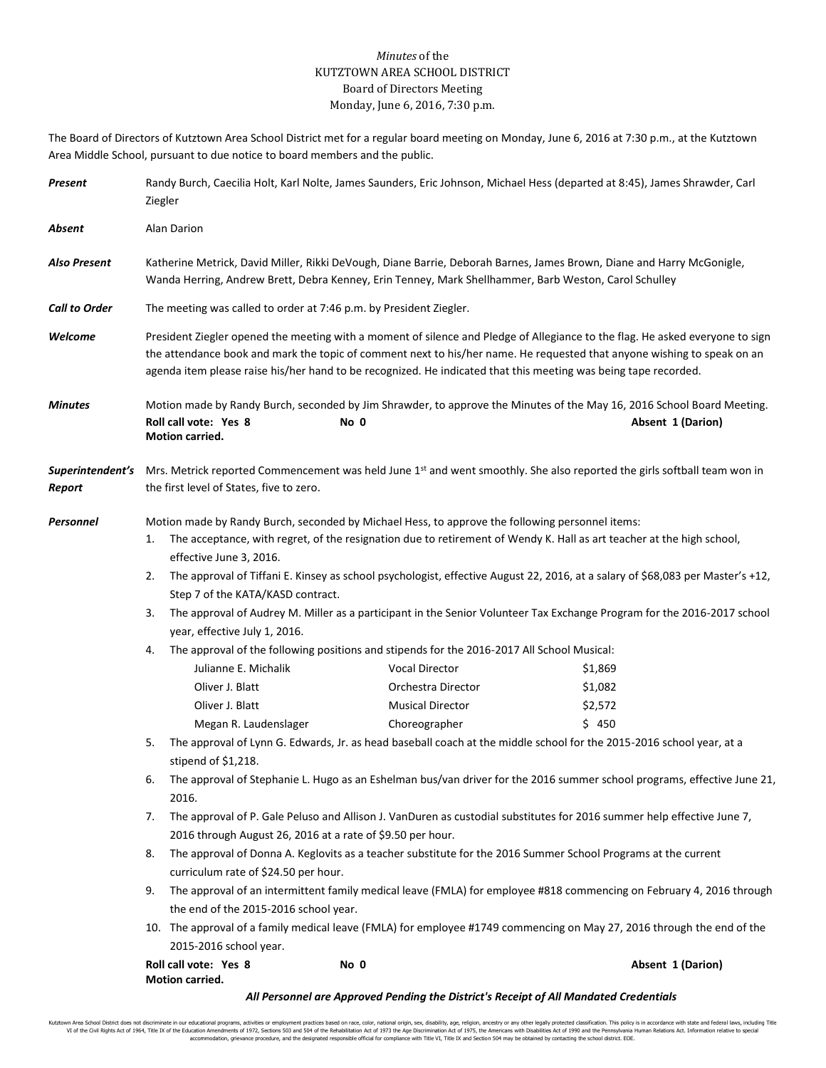## *Minutes* of the KUTZTOWN AREA SCHOOL DISTRICT Board of Directors Meeting Monday, June 6, 2016, 7:30 p.m.

The Board of Directors of Kutztown Area School District met for a regular board meeting on Monday, June 6, 2016 at 7:30 p.m., at the Kutztown Area Middle School, pursuant to due notice to board members and the public.

| Present              | Ziegler                                                                                                                                                                                                                                                   | Randy Burch, Caecilia Holt, Karl Nolte, James Saunders, Eric Johnson, Michael Hess (departed at 8:45), James Shrawder, Carl                                                                                                                                                                                                                                                 |                                                                                       |  |                                                                                                                                                       |  |  |
|----------------------|-----------------------------------------------------------------------------------------------------------------------------------------------------------------------------------------------------------------------------------------------------------|-----------------------------------------------------------------------------------------------------------------------------------------------------------------------------------------------------------------------------------------------------------------------------------------------------------------------------------------------------------------------------|---------------------------------------------------------------------------------------|--|-------------------------------------------------------------------------------------------------------------------------------------------------------|--|--|
| Absent               | Alan Darion                                                                                                                                                                                                                                               |                                                                                                                                                                                                                                                                                                                                                                             |                                                                                       |  |                                                                                                                                                       |  |  |
| Also Present         |                                                                                                                                                                                                                                                           | Katherine Metrick, David Miller, Rikki DeVough, Diane Barrie, Deborah Barnes, James Brown, Diane and Harry McGonigle,<br>Wanda Herring, Andrew Brett, Debra Kenney, Erin Tenney, Mark Shellhammer, Barb Weston, Carol Schulley                                                                                                                                              |                                                                                       |  |                                                                                                                                                       |  |  |
| <b>Call to Order</b> |                                                                                                                                                                                                                                                           |                                                                                                                                                                                                                                                                                                                                                                             | The meeting was called to order at 7:46 p.m. by President Ziegler.                    |  |                                                                                                                                                       |  |  |
| Welcome              |                                                                                                                                                                                                                                                           | President Ziegler opened the meeting with a moment of silence and Pledge of Allegiance to the flag. He asked everyone to sign<br>the attendance book and mark the topic of comment next to his/her name. He requested that anyone wishing to speak on an<br>agenda item please raise his/her hand to be recognized. He indicated that this meeting was being tape recorded. |                                                                                       |  |                                                                                                                                                       |  |  |
| Minutes              | Roll call vote: Yes 8<br>Motion carried.                                                                                                                                                                                                                  |                                                                                                                                                                                                                                                                                                                                                                             | No 0                                                                                  |  | Motion made by Randy Burch, seconded by Jim Shrawder, to approve the Minutes of the May 16, 2016 School Board Meeting.<br>Absent 1 (Darion)           |  |  |
| Report               |                                                                                                                                                                                                                                                           | the first level of States, five to zero.                                                                                                                                                                                                                                                                                                                                    |                                                                                       |  | Superintendent's Mrs. Metrick reported Commencement was held June 1 <sup>st</sup> and went smoothly. She also reported the girls softball team won in |  |  |
| Personnel            | Motion made by Randy Burch, seconded by Michael Hess, to approve the following personnel items:<br>The acceptance, with regret, of the resignation due to retirement of Wendy K. Hall as art teacher at the high school,<br>1.<br>effective June 3, 2016. |                                                                                                                                                                                                                                                                                                                                                                             |                                                                                       |  |                                                                                                                                                       |  |  |
|                      | 2.                                                                                                                                                                                                                                                        | The approval of Tiffani E. Kinsey as school psychologist, effective August 22, 2016, at a salary of \$68,083 per Master's +12,<br>Step 7 of the KATA/KASD contract.                                                                                                                                                                                                         |                                                                                       |  |                                                                                                                                                       |  |  |
|                      | 3.                                                                                                                                                                                                                                                        | The approval of Audrey M. Miller as a participant in the Senior Volunteer Tax Exchange Program for the 2016-2017 school<br>year, effective July 1, 2016.                                                                                                                                                                                                                    |                                                                                       |  |                                                                                                                                                       |  |  |
|                      | 4.                                                                                                                                                                                                                                                        | The approval of the following positions and stipends for the 2016-2017 All School Musical:                                                                                                                                                                                                                                                                                  |                                                                                       |  |                                                                                                                                                       |  |  |
|                      |                                                                                                                                                                                                                                                           | Julianne E. Michalik                                                                                                                                                                                                                                                                                                                                                        | <b>Vocal Director</b>                                                                 |  | \$1,869                                                                                                                                               |  |  |
|                      | Oliver J. Blatt                                                                                                                                                                                                                                           |                                                                                                                                                                                                                                                                                                                                                                             | Orchestra Director                                                                    |  | \$1,082                                                                                                                                               |  |  |
|                      | Oliver J. Blatt                                                                                                                                                                                                                                           |                                                                                                                                                                                                                                                                                                                                                                             | <b>Musical Director</b>                                                               |  | \$2,572                                                                                                                                               |  |  |
|                      |                                                                                                                                                                                                                                                           | Megan R. Laudenslager                                                                                                                                                                                                                                                                                                                                                       | Choreographer                                                                         |  | \$450                                                                                                                                                 |  |  |
|                      | 5.                                                                                                                                                                                                                                                        | The approval of Lynn G. Edwards, Jr. as head baseball coach at the middle school for the 2015-2016 school year, at a                                                                                                                                                                                                                                                        |                                                                                       |  |                                                                                                                                                       |  |  |
|                      |                                                                                                                                                                                                                                                           | stipend of \$1,218.                                                                                                                                                                                                                                                                                                                                                         |                                                                                       |  |                                                                                                                                                       |  |  |
|                      | 6.<br>2016.                                                                                                                                                                                                                                               | The approval of Stephanie L. Hugo as an Eshelman bus/van driver for the 2016 summer school programs, effective June 21,                                                                                                                                                                                                                                                     |                                                                                       |  |                                                                                                                                                       |  |  |
|                      | 7.                                                                                                                                                                                                                                                        | The approval of P. Gale Peluso and Allison J. VanDuren as custodial substitutes for 2016 summer help effective June 7,                                                                                                                                                                                                                                                      |                                                                                       |  |                                                                                                                                                       |  |  |
|                      | 2016 through August 26, 2016 at a rate of \$9.50 per hour.                                                                                                                                                                                                |                                                                                                                                                                                                                                                                                                                                                                             |                                                                                       |  |                                                                                                                                                       |  |  |
|                      | 8.                                                                                                                                                                                                                                                        | The approval of Donna A. Keglovits as a teacher substitute for the 2016 Summer School Programs at the current<br>curriculum rate of \$24.50 per hour.                                                                                                                                                                                                                       |                                                                                       |  |                                                                                                                                                       |  |  |
|                      | 9.                                                                                                                                                                                                                                                        | The approval of an intermittent family medical leave (FMLA) for employee #818 commencing on February 4, 2016 through                                                                                                                                                                                                                                                        |                                                                                       |  |                                                                                                                                                       |  |  |
|                      | the end of the 2015-2016 school year.                                                                                                                                                                                                                     |                                                                                                                                                                                                                                                                                                                                                                             |                                                                                       |  |                                                                                                                                                       |  |  |
|                      | 10. The approval of a family medical leave (FMLA) for employee #1749 commencing on May 27, 2016 through the end of the                                                                                                                                    |                                                                                                                                                                                                                                                                                                                                                                             |                                                                                       |  |                                                                                                                                                       |  |  |
|                      | 2015-2016 school year.                                                                                                                                                                                                                                    |                                                                                                                                                                                                                                                                                                                                                                             |                                                                                       |  |                                                                                                                                                       |  |  |
|                      | Roll call vote: Yes 8<br>Motion carried.                                                                                                                                                                                                                  |                                                                                                                                                                                                                                                                                                                                                                             | No 0                                                                                  |  | Absent 1 (Darion)                                                                                                                                     |  |  |
|                      |                                                                                                                                                                                                                                                           |                                                                                                                                                                                                                                                                                                                                                                             | All Personnel are Approved Pending the District's Receipt of All Mandated Credentials |  |                                                                                                                                                       |  |  |

Kutztown Area School District does not discriminate in our educational programs, activities or employment practices based on race, color, national origin, sex, disability, age, religion, ancestry or any other legally prot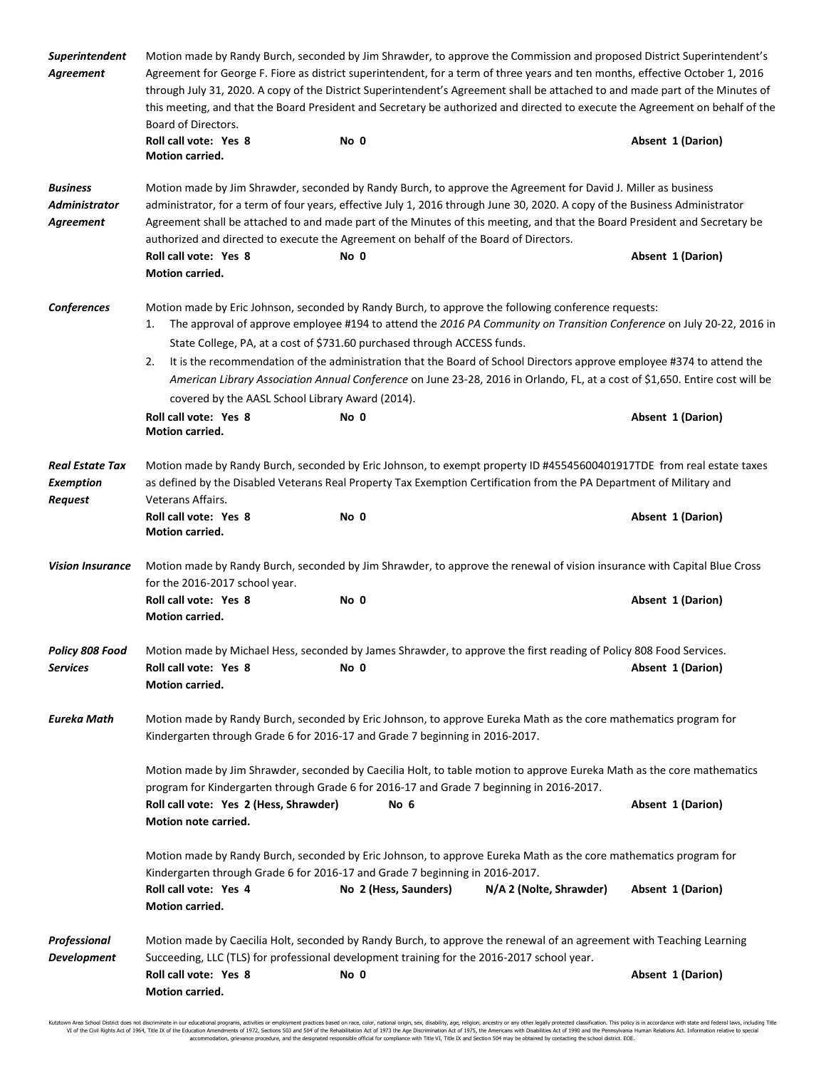| Superintendent<br>Agreement                                  | Motion made by Randy Burch, seconded by Jim Shrawder, to approve the Commission and proposed District Superintendent's<br>Agreement for George F. Fiore as district superintendent, for a term of three years and ten months, effective October 1, 2016<br>through July 31, 2020. A copy of the District Superintendent's Agreement shall be attached to and made part of the Minutes of<br>this meeting, and that the Board President and Secretary be authorized and directed to execute the Agreement on behalf of the<br>Board of Directors. |                                                                                                                                                                                                                                                                                                                                                                                                                                                                                                                                                                           |                         |                   |  |
|--------------------------------------------------------------|--------------------------------------------------------------------------------------------------------------------------------------------------------------------------------------------------------------------------------------------------------------------------------------------------------------------------------------------------------------------------------------------------------------------------------------------------------------------------------------------------------------------------------------------------|---------------------------------------------------------------------------------------------------------------------------------------------------------------------------------------------------------------------------------------------------------------------------------------------------------------------------------------------------------------------------------------------------------------------------------------------------------------------------------------------------------------------------------------------------------------------------|-------------------------|-------------------|--|
|                                                              | Roll call vote: Yes 8<br>Motion carried.                                                                                                                                                                                                                                                                                                                                                                                                                                                                                                         | No 0                                                                                                                                                                                                                                                                                                                                                                                                                                                                                                                                                                      |                         | Absent 1 (Darion) |  |
| <b>Business</b><br><b>Administrator</b><br>Agreement         | Roll call vote: Yes 8<br>Motion carried.                                                                                                                                                                                                                                                                                                                                                                                                                                                                                                         | Motion made by Jim Shrawder, seconded by Randy Burch, to approve the Agreement for David J. Miller as business<br>administrator, for a term of four years, effective July 1, 2016 through June 30, 2020. A copy of the Business Administrator<br>Agreement shall be attached to and made part of the Minutes of this meeting, and that the Board President and Secretary be<br>authorized and directed to execute the Agreement on behalf of the Board of Directors.<br>No 0                                                                                              |                         | Absent 1 (Darion) |  |
| Conferences                                                  | 1.<br>2.<br>covered by the AASL School Library Award (2014).<br>Roll call vote: Yes 8<br>Motion carried.                                                                                                                                                                                                                                                                                                                                                                                                                                         | Motion made by Eric Johnson, seconded by Randy Burch, to approve the following conference requests:<br>The approval of approve employee #194 to attend the 2016 PA Community on Transition Conference on July 20-22, 2016 in<br>State College, PA, at a cost of \$731.60 purchased through ACCESS funds.<br>It is the recommendation of the administration that the Board of School Directors approve employee #374 to attend the<br>American Library Association Annual Conference on June 23-28, 2016 in Orlando, FL, at a cost of \$1,650. Entire cost will be<br>No 0 |                         | Absent 1 (Darion) |  |
| <b>Real Estate Tax</b><br><b>Exemption</b><br><b>Request</b> | Veterans Affairs.<br>Roll call vote: Yes 8<br>Motion carried.                                                                                                                                                                                                                                                                                                                                                                                                                                                                                    | Motion made by Randy Burch, seconded by Eric Johnson, to exempt property ID #45545600401917TDE from real estate taxes<br>as defined by the Disabled Veterans Real Property Tax Exemption Certification from the PA Department of Military and<br>No 0                                                                                                                                                                                                                                                                                                                     |                         | Absent 1 (Darion) |  |
| <b>Vision Insurance</b>                                      | Motion made by Randy Burch, seconded by Jim Shrawder, to approve the renewal of vision insurance with Capital Blue Cross<br>for the 2016-2017 school year.                                                                                                                                                                                                                                                                                                                                                                                       |                                                                                                                                                                                                                                                                                                                                                                                                                                                                                                                                                                           |                         |                   |  |
|                                                              | Roll call vote: Yes 8<br><b>Motion carried.</b>                                                                                                                                                                                                                                                                                                                                                                                                                                                                                                  | No 0                                                                                                                                                                                                                                                                                                                                                                                                                                                                                                                                                                      |                         | Absent 1 (Darion) |  |
| Policy 808 Food<br><b>Services</b>                           | Roll call vote: Yes 8<br>Motion carried.                                                                                                                                                                                                                                                                                                                                                                                                                                                                                                         | Motion made by Michael Hess, seconded by James Shrawder, to approve the first reading of Policy 808 Food Services.<br>No 0                                                                                                                                                                                                                                                                                                                                                                                                                                                |                         | Absent 1 (Darion) |  |
| Eureka Math                                                  | Motion made by Randy Burch, seconded by Eric Johnson, to approve Eureka Math as the core mathematics program for<br>Kindergarten through Grade 6 for 2016-17 and Grade 7 beginning in 2016-2017.                                                                                                                                                                                                                                                                                                                                                 |                                                                                                                                                                                                                                                                                                                                                                                                                                                                                                                                                                           |                         |                   |  |
|                                                              | Motion made by Jim Shrawder, seconded by Caecilia Holt, to table motion to approve Eureka Math as the core mathematics<br>program for Kindergarten through Grade 6 for 2016-17 and Grade 7 beginning in 2016-2017.<br>Roll call vote: Yes 2 (Hess, Shrawder)<br>No 6<br>Absent 1 (Darion)<br><b>Motion note carried.</b>                                                                                                                                                                                                                         |                                                                                                                                                                                                                                                                                                                                                                                                                                                                                                                                                                           |                         |                   |  |
|                                                              | Roll call vote: Yes 4<br>Motion carried.                                                                                                                                                                                                                                                                                                                                                                                                                                                                                                         | Motion made by Randy Burch, seconded by Eric Johnson, to approve Eureka Math as the core mathematics program for<br>Kindergarten through Grade 6 for 2016-17 and Grade 7 beginning in 2016-2017.<br>No 2 (Hess, Saunders)                                                                                                                                                                                                                                                                                                                                                 | N/A 2 (Nolte, Shrawder) | Absent 1 (Darion) |  |
| Professional<br><b>Development</b>                           | Roll call vote: Yes 8<br>Motion carried.                                                                                                                                                                                                                                                                                                                                                                                                                                                                                                         | Motion made by Caecilia Holt, seconded by Randy Burch, to approve the renewal of an agreement with Teaching Learning<br>Succeeding, LLC (TLS) for professional development training for the 2016-2017 school year.<br>No 0                                                                                                                                                                                                                                                                                                                                                |                         | Absent 1 (Darion) |  |

Kutztown Area School District does not discriminate in our educational programs, activities or employment practices based on race, color, national origin, sex, disability, age, religion, ancestry or any other legally prot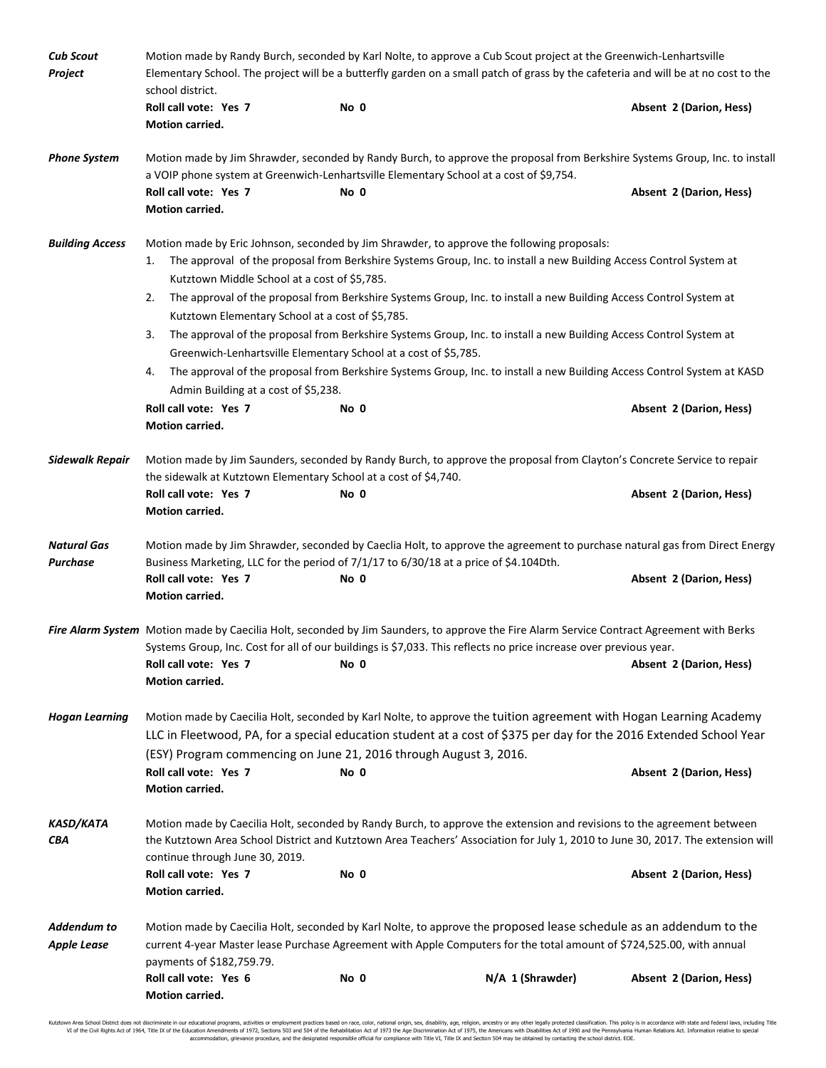| <b>Cub Scout</b><br>Project       | Motion made by Randy Burch, seconded by Karl Nolte, to approve a Cub Scout project at the Greenwich-Lenhartsville<br>Elementary School. The project will be a butterfly garden on a small patch of grass by the cafeteria and will be at no cost to the<br>school district.                                   |      |                  |                         |  |  |
|-----------------------------------|---------------------------------------------------------------------------------------------------------------------------------------------------------------------------------------------------------------------------------------------------------------------------------------------------------------|------|------------------|-------------------------|--|--|
|                                   | Roll call vote: Yes 7<br>Motion carried.                                                                                                                                                                                                                                                                      | No 0 |                  | Absent 2 (Darion, Hess) |  |  |
| <b>Phone System</b>               | Motion made by Jim Shrawder, seconded by Randy Burch, to approve the proposal from Berkshire Systems Group, Inc. to install<br>a VOIP phone system at Greenwich-Lenhartsville Elementary School at a cost of \$9,754.                                                                                         |      |                  |                         |  |  |
|                                   | Roll call vote: Yes 7<br>Motion carried.                                                                                                                                                                                                                                                                      | No 0 |                  | Absent 2 (Darion, Hess) |  |  |
| <b>Building Access</b>            | Motion made by Eric Johnson, seconded by Jim Shrawder, to approve the following proposals:<br>The approval of the proposal from Berkshire Systems Group, Inc. to install a new Building Access Control System at<br>1.<br>Kutztown Middle School at a cost of \$5,785.                                        |      |                  |                         |  |  |
|                                   | The approval of the proposal from Berkshire Systems Group, Inc. to install a new Building Access Control System at<br>2.<br>Kutztown Elementary School at a cost of \$5,785.                                                                                                                                  |      |                  |                         |  |  |
|                                   | The approval of the proposal from Berkshire Systems Group, Inc. to install a new Building Access Control System at<br>3.<br>Greenwich-Lenhartsville Elementary School at a cost of \$5,785.                                                                                                                   |      |                  |                         |  |  |
|                                   | The approval of the proposal from Berkshire Systems Group, Inc. to install a new Building Access Control System at KASD<br>4.<br>Admin Building at a cost of \$5,238.                                                                                                                                         |      |                  |                         |  |  |
|                                   | Roll call vote: Yes 7<br>Motion carried.                                                                                                                                                                                                                                                                      | No 0 |                  | Absent 2 (Darion, Hess) |  |  |
| <b>Sidewalk Repair</b>            | Motion made by Jim Saunders, seconded by Randy Burch, to approve the proposal from Clayton's Concrete Service to repair<br>the sidewalk at Kutztown Elementary School at a cost of \$4,740.                                                                                                                   |      |                  |                         |  |  |
|                                   | Roll call vote: Yes 7<br>Motion carried.                                                                                                                                                                                                                                                                      | No 0 |                  | Absent 2 (Darion, Hess) |  |  |
| Natural Gas<br><b>Purchase</b>    | Motion made by Jim Shrawder, seconded by Caeclia Holt, to approve the agreement to purchase natural gas from Direct Energy<br>Business Marketing, LLC for the period of 7/1/17 to 6/30/18 at a price of \$4.104Dth.                                                                                           |      |                  |                         |  |  |
|                                   | Roll call vote: Yes 7<br>Motion carried.                                                                                                                                                                                                                                                                      | No 0 |                  | Absent 2 (Darion, Hess) |  |  |
|                                   | Fire Alarm System Motion made by Caecilia Holt, seconded by Jim Saunders, to approve the Fire Alarm Service Contract Agreement with Berks<br>Systems Group, Inc. Cost for all of our buildings is \$7,033. This reflects no price increase over previous year.<br>Roll call vote: Yes 7<br>Motion carried.    | No 0 |                  | Absent 2 (Darion, Hess) |  |  |
| <b>Hogan Learning</b>             | Motion made by Caecilia Holt, seconded by Karl Nolte, to approve the tuition agreement with Hogan Learning Academy<br>LLC in Fleetwood, PA, for a special education student at a cost of \$375 per day for the 2016 Extended School Year<br>(ESY) Program commencing on June 21, 2016 through August 3, 2016. |      |                  |                         |  |  |
|                                   | Roll call vote: Yes 7<br>Motion carried.                                                                                                                                                                                                                                                                      | No 0 |                  | Absent 2 (Darion, Hess) |  |  |
| <b>KASD/KATA</b><br>CBA           | Motion made by Caecilia Holt, seconded by Randy Burch, to approve the extension and revisions to the agreement between<br>the Kutztown Area School District and Kutztown Area Teachers' Association for July 1, 2010 to June 30, 2017. The extension will<br>continue through June 30, 2019.                  |      |                  |                         |  |  |
|                                   | Roll call vote: Yes 7<br>Motion carried.                                                                                                                                                                                                                                                                      | No 0 |                  | Absent 2 (Darion, Hess) |  |  |
| Addendum to<br><b>Apple Lease</b> | Motion made by Caecilia Holt, seconded by Karl Nolte, to approve the proposed lease schedule as an addendum to the<br>current 4-year Master lease Purchase Agreement with Apple Computers for the total amount of \$724,525.00, with annual<br>payments of \$182,759.79.                                      |      |                  |                         |  |  |
|                                   | Roll call vote: Yes 6<br>Motion carried.                                                                                                                                                                                                                                                                      | No 0 | N/A 1 (Shrawder) | Absent 2 (Darion, Hess) |  |  |

Kutztown Area School District does not discriminate in our educational programs, activities or employment practices based on race, color, national origin, sex, disability, age, religion, ancestry or any other legally prot